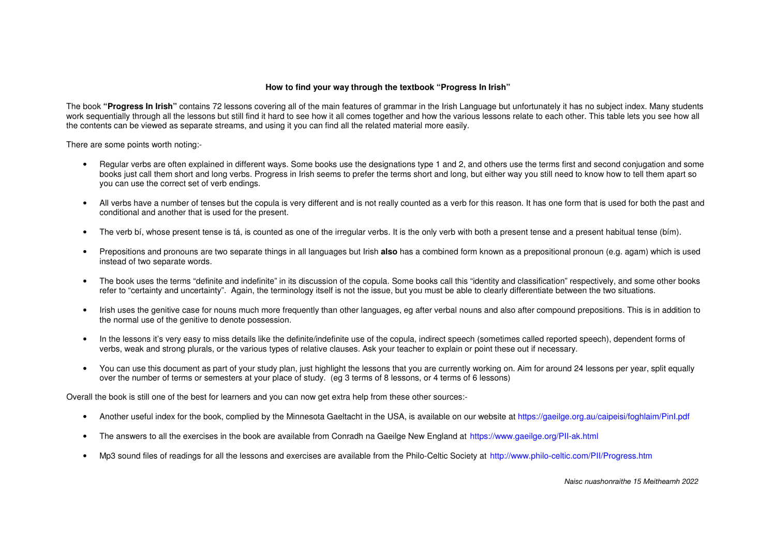## **How to find your way through the textbook "Progress In Irish"**

The book **"Progress In Irish"** contains 72 lessons covering all of the main features of grammar in the Irish Language but unfortunately it has no subject index. Many students work sequentially through all the lessons but still find it hard to see how it all comes together and how the various lessons relate to each other. This table lets you see how all the contents can be viewed as separate streams, and using it you can find all the related material more easily.

There are some points worth noting:-

- Regular verbs are often explained in different ways. Some books use the designations type 1 and 2, and others use the terms first and second conjugation and some books just call them short and long verbs. Progress in Irish seems to prefer the terms short and long, but either way you still need to know how to tell them apart so you can use the correct set of verb endings.
- All verbs have a number of tenses but the copula is very different and is not really counted as a verb for this reason. It has one form that is used for both the past and conditional and another that is used for the present.
- The verb bí, whose present tense is tá, is counted as one of the irregular verbs. It is the only verb with both a present tense and a present habitual tense (bím).
- Prepositions and pronouns are two separate things in all languages but Irish **also** has a combined form known as a prepositional pronoun (e.g. agam) which is used instead of two separate words.
- The book uses the terms "definite and indefinite" in its discussion of the copula. Some books call this "identity and classification" respectively, and some other books refer to "certainty and uncertainty". Again, the terminology itself is not the issue, but you must be able to clearly differentiate between the two situations.
- Irish uses the genitive case for nouns much more frequently than other languages, eg after verbal nouns and also after compound prepositions. This is in addition to the normal use of the genitive to denote possession.
- In the lessons it's very easy to miss details like the definite/indefinite use of the copula, indirect speech (sometimes called reported speech), dependent forms of verbs, weak and strong plurals, or the various types of relative clauses. Ask your teacher to explain or point these out if necessary.
- You can use this document as part of your study plan, just highlight the lessons that you are currently working on. Aim for around 24 lessons per year, split equally over the number of terms or semesters at your place of study. (eg 3 terms of 8 lessons, or 4 terms of 6 lessons)

Overall the book is still one of the best for learners and you can now get extra help from these other sources:-

- Another useful index for the book, complied by the Minnesota Gaeltacht in the USA, is available on our website at<https://gaeilge.org.au/caipeisi/foghlaim/PinI.pdf>
- The answers to all the exercises in the book are available from Conradh na Gaeilge New England at <https://www.gaeilge.org/PII-ak.html>
- Mp3 sound files of readings for all the lessons and exercises are available from the Philo-Celtic Society at <http://www.philo-celtic.com/PII/Progress.htm>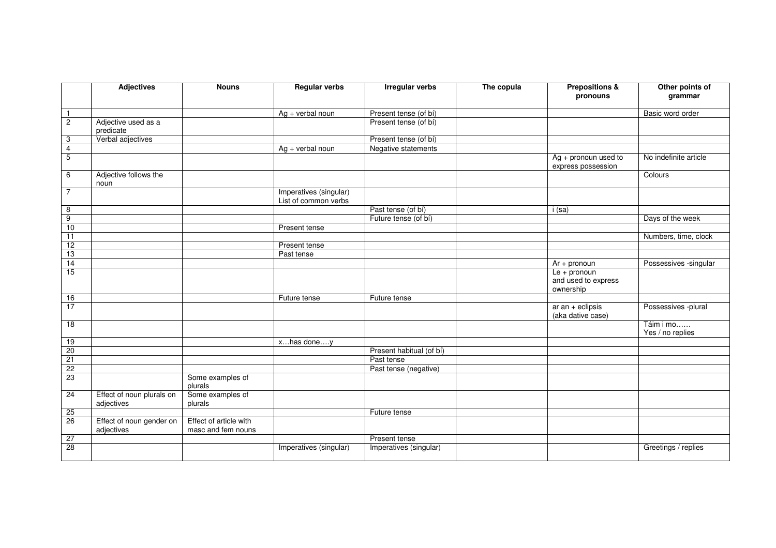|                 | <b>Adjectives</b>                       | <b>Nouns</b>                                 | <b>Regular verbs</b>                           | <b>Irregular verbs</b>   | The copula | <b>Prepositions &amp;</b><br>pronouns             | Other points of<br>grammar    |
|-----------------|-----------------------------------------|----------------------------------------------|------------------------------------------------|--------------------------|------------|---------------------------------------------------|-------------------------------|
| $\overline{1}$  |                                         |                                              | $Ag + verbal$ noun                             | Present tense (of bí)    |            |                                                   | Basic word order              |
| $\overline{2}$  | Adjective used as a<br>predicate        |                                              |                                                | Present tense (of bí)    |            |                                                   |                               |
| 3               | Verbal adjectives                       |                                              |                                                | Present tense (of bí)    |            |                                                   |                               |
| $\overline{4}$  |                                         |                                              | $Ag + verbal$ noun                             | Negative statements      |            |                                                   |                               |
| $\overline{5}$  |                                         |                                              |                                                |                          |            | $Ag + pronom$ used to<br>express possession       | No indefinite article         |
| 6               | Adjective follows the<br>noun           |                                              |                                                |                          |            |                                                   | Colours                       |
| $\overline{7}$  |                                         |                                              | Imperatives (singular)<br>List of common verbs |                          |            |                                                   |                               |
| 8               |                                         |                                              |                                                | Past tense (of bí)       |            | i (sa)                                            |                               |
| $\overline{9}$  |                                         |                                              |                                                | Future tense (of bí)     |            |                                                   | Days of the week              |
| 10              |                                         |                                              | Present tense                                  |                          |            |                                                   |                               |
| $\overline{11}$ |                                         |                                              |                                                |                          |            |                                                   | Numbers, time, clock          |
| 12              |                                         |                                              | Present tense                                  |                          |            |                                                   |                               |
| 13              |                                         |                                              | Past tense                                     |                          |            |                                                   |                               |
| 14              |                                         |                                              |                                                |                          |            | $Ar + pronoun$                                    | Possessives - singular        |
| 15              |                                         |                                              |                                                |                          |            | $Le + pronom$<br>and used to express<br>ownership |                               |
| 16              |                                         |                                              | Future tense                                   | Future tense             |            |                                                   |                               |
| $\overline{17}$ |                                         |                                              |                                                |                          |            | $ar$ an + eclipsis<br>(aka dative case)           | Possessives -plural           |
| 18              |                                         |                                              |                                                |                          |            |                                                   | Táim i mo<br>Yes / no replies |
| 19              |                                         |                                              | xhas doney                                     |                          |            |                                                   |                               |
| 20              |                                         |                                              |                                                | Present habitual (of bí) |            |                                                   |                               |
| 21              |                                         |                                              |                                                | Past tense               |            |                                                   |                               |
| 22              |                                         |                                              |                                                | Past tense (negative)    |            |                                                   |                               |
| 23              |                                         | Some examples of<br>plurals                  |                                                |                          |            |                                                   |                               |
| 24              | Effect of noun plurals on<br>adjectives | Some examples of<br>plurals                  |                                                |                          |            |                                                   |                               |
| 25              |                                         |                                              |                                                | Future tense             |            |                                                   |                               |
| 26              | Effect of noun gender on<br>adjectives  | Effect of article with<br>masc and fem nouns |                                                |                          |            |                                                   |                               |
| 27              |                                         |                                              |                                                | Present tense            |            |                                                   |                               |
| 28              |                                         |                                              | Imperatives (singular)                         | Imperatives (singular)   |            |                                                   | Greetings / replies           |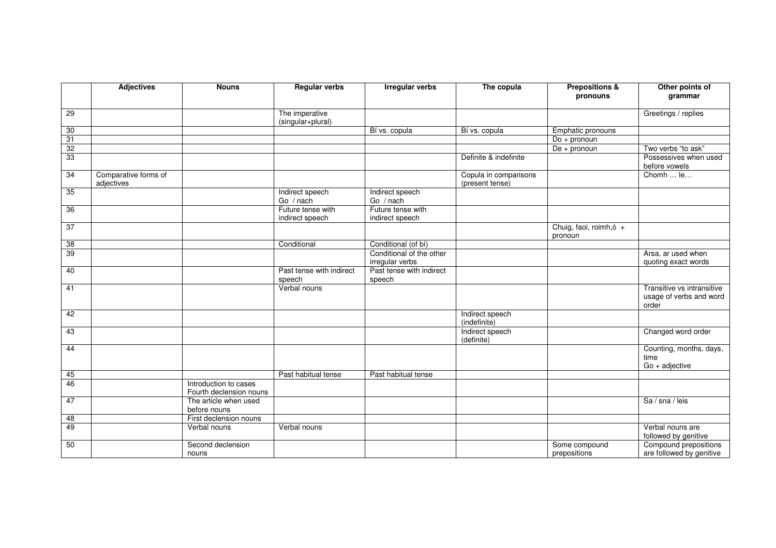|                 | <b>Adjectives</b>                  | <b>Nouns</b>                                     | <b>Regular verbs</b>                 | <b>Irregular verbs</b>                      | The copula                               | <b>Prepositions &amp;</b><br>pronouns | Other points of<br>grammar                                     |
|-----------------|------------------------------------|--------------------------------------------------|--------------------------------------|---------------------------------------------|------------------------------------------|---------------------------------------|----------------------------------------------------------------|
| 29              |                                    |                                                  | The imperative<br>(singular+plural)  |                                             |                                          |                                       | Greetings / replies                                            |
| 30              |                                    |                                                  |                                      | Bí vs. copula                               | Bí vs. copula                            | Emphatic pronouns                     |                                                                |
| 31              |                                    |                                                  |                                      |                                             |                                          | $Do + pronoun$                        |                                                                |
| $\overline{32}$ |                                    |                                                  |                                      |                                             |                                          | $De + pronoun$                        | Two verbs "to ask"                                             |
| 33              |                                    |                                                  |                                      |                                             | Definite & indefinite                    |                                       | Possessives when used<br>before vowels                         |
| 34              | Comparative forms of<br>adjectives |                                                  |                                      |                                             | Copula in comparisons<br>(present tense) |                                       | Chomh  le                                                      |
| 35              |                                    |                                                  | Indirect speech<br>Go / nach         | Indirect speech<br>Go / nach                |                                          |                                       |                                                                |
| 36              |                                    |                                                  | Future tense with<br>indirect speech | Future tense with<br>indirect speech        |                                          |                                       |                                                                |
| 37              |                                    |                                                  |                                      |                                             |                                          | Chuig, faoi, roimh, 6 +<br>pronoun    |                                                                |
| 38              |                                    |                                                  | Conditional                          | Conditional (of bí)                         |                                          |                                       |                                                                |
| 39              |                                    |                                                  |                                      | Conditional of the other<br>irregular verbs |                                          |                                       | Arsa, ar used when<br>quoting exact words                      |
| 40              |                                    |                                                  | Past tense with indirect<br>speech   | Past tense with indirect<br>speech          |                                          |                                       |                                                                |
| 41              |                                    |                                                  | Verbal nouns                         |                                             |                                          |                                       | Transitive vs intransitive<br>usage of verbs and word<br>order |
| 42              |                                    |                                                  |                                      |                                             | Indirect speech<br>(indefinite)          |                                       |                                                                |
| 43              |                                    |                                                  |                                      |                                             | Indirect speech<br>(definite)            |                                       | Changed word order                                             |
| 44              |                                    |                                                  |                                      |                                             |                                          |                                       | Counting, months, days,<br>time<br>$Go + adjective$            |
| 45              |                                    |                                                  | Past habitual tense                  | Past habitual tense                         |                                          |                                       |                                                                |
| 46              |                                    | Introduction to cases<br>Fourth declension nouns |                                      |                                             |                                          |                                       |                                                                |
| 47              |                                    | The article when used<br>before nouns            |                                      |                                             |                                          |                                       | Sa / sna / leis                                                |
| 48              |                                    | First declension nouns                           |                                      |                                             |                                          |                                       |                                                                |
| 49              |                                    | Verbal nouns                                     | Verbal nouns                         |                                             |                                          |                                       | Verbal nouns are<br>followed by genitive                       |
| 50              |                                    | Second declension<br>nouns                       |                                      |                                             |                                          | Some compound<br>prepositions         | Compound prepositions<br>are followed by genitive              |